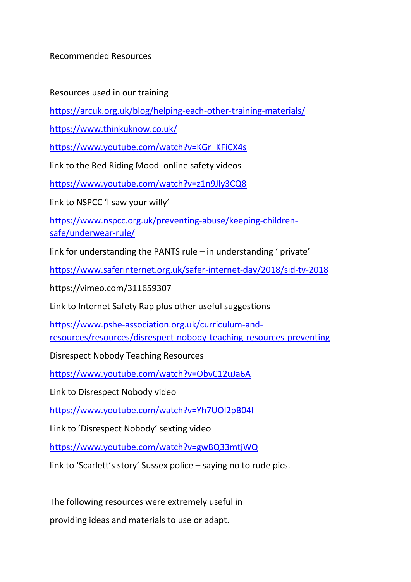Recommended Resources

Resources used in our training

<https://arcuk.org.uk/blog/helping-each-other-training-materials/>

<https://www.thinkuknow.co.uk/>

[https://www.youtube.com/watch?v=KGr\\_KFiCX4s](https://www.youtube.com/watch?v=KGr_KFiCX4s)

link to the Red Riding Mood online safety videos

<https://www.youtube.com/watch?v=z1n9Jly3CQ8>

link to NSPCC 'I saw your willy'

[https://www.nspcc.org.uk/preventing-abuse/keeping-children](https://www.nspcc.org.uk/preventing-abuse/keeping-children-safe/underwear-rule/)[safe/underwear-rule/](https://www.nspcc.org.uk/preventing-abuse/keeping-children-safe/underwear-rule/)

link for understanding the PANTS rule – in understanding ' private'

<https://www.saferinternet.org.uk/safer-internet-day/2018/sid-tv-2018>

https://vimeo.com/311659307

Link to Internet Safety Rap plus other useful suggestions

[https://www.pshe-association.org.uk/curriculum-and](https://www.pshe-association.org.uk/curriculum-and-resources/resources/disrespect-nobody-teaching-resources-preventing)[resources/resources/disrespect-nobody-teaching-resources-preventing](https://www.pshe-association.org.uk/curriculum-and-resources/resources/disrespect-nobody-teaching-resources-preventing)

Disrespect Nobody Teaching Resources

<https://www.youtube.com/watch?v=ObvC12uJa6A>

Link to Disrespect Nobody video

<https://www.youtube.com/watch?v=Yh7UOl2pB04l>

Link to 'Disrespect Nobody' sexting video

<https://www.youtube.com/watch?v=gwBQ33mtjWQ>

link to 'Scarlett's story' Sussex police – saying no to rude pics.

The following resources were extremely useful in

providing ideas and materials to use or adapt.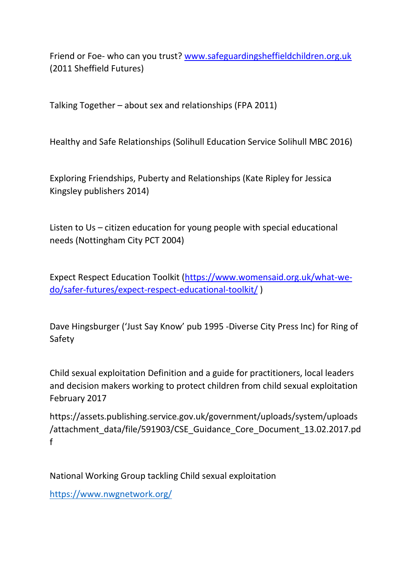Friend or Foe- who can you trust? [www.safeguardingsheffieldchildren.org.uk](http://www.safeguardingsheffieldchildren.org.uk/) (2011 Sheffield Futures)

Talking Together – about sex and relationships (FPA 2011)

Healthy and Safe Relationships (Solihull Education Service Solihull MBC 2016)

Exploring Friendships, Puberty and Relationships (Kate Ripley for Jessica Kingsley publishers 2014)

Listen to Us – citizen education for young people with special educational needs (Nottingham City PCT 2004)

Expect Respect Education Toolkit [\(https://www.womensaid.org.uk/what-we](https://www.womensaid.org.uk/what-we-do/safer-futures/expect-respect-educational-toolkit/)[do/safer-futures/expect-respect-educational-toolkit/](https://www.womensaid.org.uk/what-we-do/safer-futures/expect-respect-educational-toolkit/) )

Dave Hingsburger ('Just Say Know' pub 1995 -Diverse City Press Inc) for Ring of Safety

Child sexual exploitation Definition and a guide for practitioners, local leaders and decision makers working to protect children from child sexual exploitation February 2017

https://assets.publishing.service.gov.uk/government/uploads/system/uploads /attachment\_data/file/591903/CSE\_Guidance\_Core\_Document\_13.02.2017.pd f

National Working Group tackling Child sexual exploitation

<https://www.nwgnetwork.org/>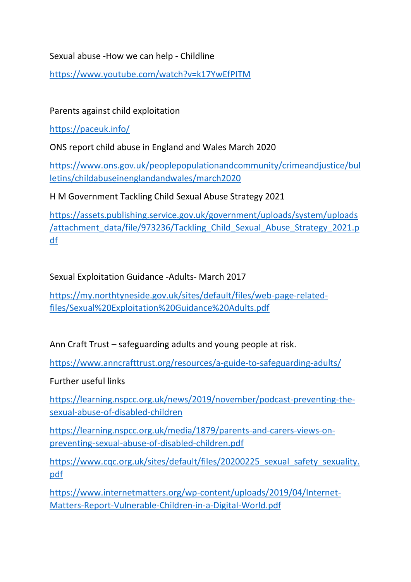Sexual abuse -How we can help - Childline

<https://www.youtube.com/watch?v=k17YwEfPITM>

Parents against child exploitation

<https://paceuk.info/>

ONS report child abuse in England and Wales March 2020

[https://www.ons.gov.uk/peoplepopulationandcommunity/crimeandjustice/bul](https://www.ons.gov.uk/peoplepopulationandcommunity/crimeandjustice/bulletins/childabuseinenglandandwales/march2020) [letins/childabuseinenglandandwales/march2020](https://www.ons.gov.uk/peoplepopulationandcommunity/crimeandjustice/bulletins/childabuseinenglandandwales/march2020)

H M Government Tackling Child Sexual Abuse Strategy 2021

[https://assets.publishing.service.gov.uk/government/uploads/system/uploads](https://assets.publishing.service.gov.uk/government/uploads/system/uploads/attachment_data/file/973236/Tackling_Child_Sexual_Abuse_Strategy_2021.pdf) [/attachment\\_data/file/973236/Tackling\\_Child\\_Sexual\\_Abuse\\_Strategy\\_2021.p](https://assets.publishing.service.gov.uk/government/uploads/system/uploads/attachment_data/file/973236/Tackling_Child_Sexual_Abuse_Strategy_2021.pdf) [df](https://assets.publishing.service.gov.uk/government/uploads/system/uploads/attachment_data/file/973236/Tackling_Child_Sexual_Abuse_Strategy_2021.pdf)

Sexual Exploitation Guidance -Adults- March 2017

[https://my.northtyneside.gov.uk/sites/default/files/web-page-related](https://my.northtyneside.gov.uk/sites/default/files/web-page-related-files/Sexual%20Exploitation%20Guidance%20Adults.pdf)[files/Sexual%20Exploitation%20Guidance%20Adults.pdf](https://my.northtyneside.gov.uk/sites/default/files/web-page-related-files/Sexual%20Exploitation%20Guidance%20Adults.pdf)

Ann Craft Trust – safeguarding adults and young people at risk.

<https://www.anncrafttrust.org/resources/a-guide-to-safeguarding-adults/>

Further useful links

[https://learning.nspcc.org.uk/news/2019/november/podcast-preventing-the](https://learning.nspcc.org.uk/news/2019/november/podcast-preventing-the-sexual-abuse-of-disabled-children)[sexual-abuse-of-disabled-children](https://learning.nspcc.org.uk/news/2019/november/podcast-preventing-the-sexual-abuse-of-disabled-children)

[https://learning.nspcc.org.uk/media/1879/parents-and-carers-views-on](https://learning.nspcc.org.uk/media/1879/parents-and-carers-views-on-preventing-sexual-abuse-of-disabled-children.pdf)[preventing-sexual-abuse-of-disabled-children.pdf](https://learning.nspcc.org.uk/media/1879/parents-and-carers-views-on-preventing-sexual-abuse-of-disabled-children.pdf)

https://www.cqc.org.uk/sites/default/files/20200225 sexual\_safety\_sexuality. [pdf](https://www.cqc.org.uk/sites/default/files/20200225_sexual_safety_sexuality.pdf)

[https://www.internetmatters.org/wp-content/uploads/2019/04/Internet-](https://www.internetmatters.org/wp-content/uploads/2019/04/Internet-Matters-Report-Vulnerable-Children-in-a-Digital-World.pdf)[Matters-Report-Vulnerable-Children-in-a-Digital-World.pdf](https://www.internetmatters.org/wp-content/uploads/2019/04/Internet-Matters-Report-Vulnerable-Children-in-a-Digital-World.pdf)